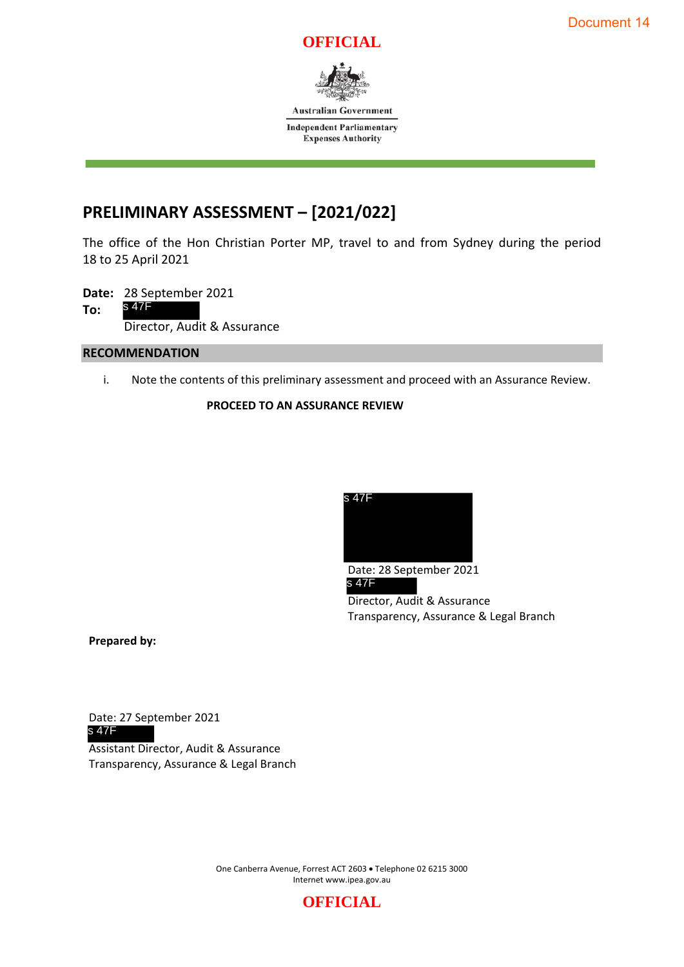



**Australian Government Independent Parliamentary** 

**Expenses Authority** 

# **PRELIMINARY ASSESSMENT – [2021/022]**

The office of the Hon Christian Porter MP, travel to and from Sydney during the period 18 to 25 April 2021

**Date:** 28 September 2021 **To:**  Director, Audit & Assurance s 47F

#### **RECOMMENDATION**

i. Note the contents of this preliminary assessment and proceed with an Assurance Review.

## **PROCEED TO AN ASSURANCE REVIEW**



Date: 28 September 2021 Director, Audit & Assurance Transparency, Assurance & Legal Branch s 47F

**Prepared by:**

Date: 27 September 2021 s 47F

Assistant Director, Audit & Assurance Transparency, Assurance & Legal Branch

> One Canberra Avenue, Forrest ACT 2603 • Telephone 02 6215 3000 Internet www.ipea.gov.au